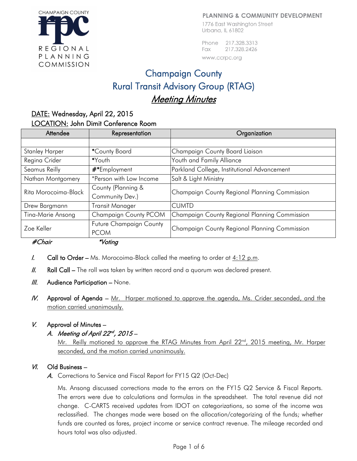#### **PLANNING & COMMUNITY DEVELOPMENT**

1776 East Washington Street Urbana, IL 61802

Phone 217,328,3313 217.328.2426 Fax www.ccrpc.org

# Champaign County Rural Transit Advisory Group (RTAG) Meeting Minutes

## DATE: Wednesday, April 22, 2015 LOCATION: John Dimit Conference Room

| Attendee              | Representation          | Organization                                  |
|-----------------------|-------------------------|-----------------------------------------------|
|                       |                         |                                               |
| <b>Stanley Harper</b> | *County Board           | Champaign County Board Liaison                |
| Regina Crider         | *Youth                  | Youth and Family Alliance                     |
| Seamus Reilly         | #*Employment            | Parkland College, Institutional Advancement   |
| Nathan Montgomery     | *Person with Low Income | Salt & Light Ministry                         |
| Rita Morocoima-Black  | County (Planning &      | Champaign County Regional Planning Commission |
|                       | Community Dev.)         |                                               |
| Drew Bargmann         | <b>Transit Manager</b>  | <b>CUMTD</b>                                  |
| Tina-Marie Ansong     | Champaign County PCOM   | Champaign County Regional Planning Commission |
| Zoe Keller            | Future Champaign County | Champaign County Regional Planning Commission |
|                       | <b>PCOM</b>             |                                               |
| #Chair                | *Voting                 |                                               |

- **I.** Call to Order Ms. Morocoima-Black called the meeting to order at  $4:12$  p.m.
- $II.$  Roll Call The roll was taken by written record and a quorum was declared present.
- $III.$  Audience Participation None.
- IV. Approval of Agenda Mr. Harper motioned to approve the agenda, Ms. Crider seconded, and the motion carried unanimously.

## V. Approval of Minutes –

## A. Meeting of April  $22^{nd}$ ,  $2015 -$

Mr. Reilly motioned to approve the RTAG Minutes from April  $22<sup>nd</sup>$ , 2015 meeting, Mr. Harper seconded, and the motion carried unanimously.

#### VI. Old Business –

A. Corrections to Service and Fiscal Report for FY15 Q2 (Oct-Dec)

Ms. Ansong discussed corrections made to the errors on the FY15 Q2 Service & Fiscal Reports. The errors were due to calculations and formulas in the spreadsheet. The total revenue did not change. C-CARTS received updates from IDOT on categorizations, so some of the income was reclassified. The changes made were based on the allocation/categorizing of the funds; whether funds are counted as fares, project income or service contract revenue. The mileage recorded and hours total was also adjusted.

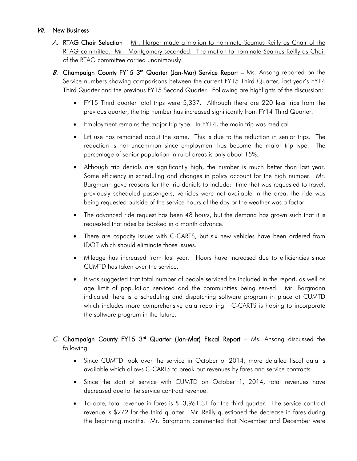## **VII.** New Business

- A. RTAG Chair Selection Mr. Harper made a motion to nominate Seamus Reilly as Chair of the RTAG committee. Mr. Montgomery seconded. The motion to nominate Seamus Reilly as Chair of the RTAG committee carried unanimously.
- B. Champaign County FY15  $3<sup>rd</sup>$  Quarter (Jan-Mar) Service Report Ms. Ansong reported on the Service numbers showing comparisons between the current FY15 Third Quarter, last year's FY14 Third Quarter and the previous FY15 Second Quarter. Following are highlights of the discussion:
	- FY15 Third quarter total trips were 5,337. Although there are 220 less trips from the previous quarter, the trip number has increased significantly from FY14 Third Quarter.
	- Employment remains the major trip type. In FY14, the main trip was medical.
	- Lift use has remained about the same. This is due to the reduction in senior trips. The reduction is not uncommon since employment has become the major trip type. The percentage of senior population in rural areas is only about 15%.
	- Although trip denials are significantly high, the number is much better than last year. Some efficiency in scheduling and changes in policy account for the high number. Mr. Bargmann gave reasons for the trip denials to include: time that was requested to travel, previously scheduled passengers, vehicles were not available in the area, the ride was being requested outside of the service hours of the day or the weather was a factor.
	- The advanced ride request has been 48 hours, but the demand has grown such that it is requested that rides be booked in a month advance.
	- There are capacity issues with C-CARTS, but six new vehicles have been ordered from IDOT which should eliminate those issues.
	- Mileage has increased from last year. Hours have increased due to efficiencies since CUMTD has taken over the service.
	- It was suggested that total number of people serviced be included in the report, as well as age limit of population serviced and the communities being served. Mr. Bargmann indicated there is a scheduling and dispatching software program in place at CUMTD which includes more comprehensive data reporting. C-CARTS is hoping to incorporate the software program in the future.

## C. Champaign County FY15 3<sup>rd</sup> Quarter (Jan-Mar) Fiscal Report  $-$  Ms. Ansong discussed the following:

- Since CUMTD took over the service in October of 2014, more detailed fiscal data is available which allows C-CARTS to break out revenues by fares and service contracts.
- Since the start of service with CUMTD on October 1, 2014, total revenues have decreased due to the service contract revenue.
- To date, total revenue in fares is \$13,961.31 for the third quarter. The service contract revenue is \$272 for the third quarter. Mr. Reilly questioned the decrease in fares during the beginning months. Mr. Bargmann commented that November and December were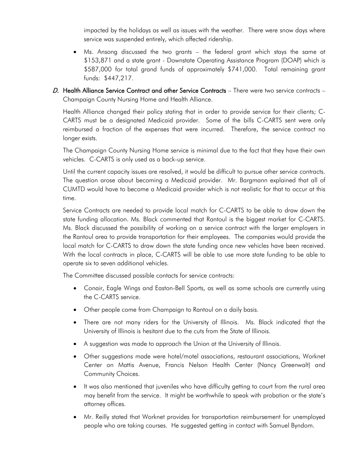impacted by the holidays as well as issues with the weather. There were snow days where service was suspended entirely, which affected ridership.

- Ms. Ansong discussed the two grants the federal grant which stays the same at \$153,871 and a state grant - Downstate Operating Assistance Program (DOAP) which is \$587,000 for total grand funds of approximately \$741,000. Total remaining grant funds: \$447,217.
- D. Health Alliance Service Contract and other Service Contracts There were two service contracts Champaign County Nursing Home and Health Alliance.

Health Alliance changed their policy stating that in order to provide service for their clients; C-CARTS must be a designated Medicaid provider. Some of the bills C-CARTS sent were only reimbursed a fraction of the expenses that were incurred. Therefore, the service contract no longer exists.

The Champaign County Nursing Home service is minimal due to the fact that they have their own vehicles. C-CARTS is only used as a back-up service.

Until the current capacity issues are resolved, it would be difficult to pursue other service contracts. The question arose about becoming a Medicaid provider. Mr. Bargmann explained that all of CUMTD would have to become a Medicaid provider which is not realistic for that to occur at this time.

Service Contracts are needed to provide local match for C-CARTS to be able to draw down the state funding allocation. Ms. Black commented that Rantoul is the biggest market for C-CARTS. Ms. Black discussed the possibility of working on a service contract with the larger employers in the Rantoul area to provide transportation for their employees. The companies would provide the local match for C-CARTS to draw down the state funding once new vehicles have been received. With the local contracts in place, C-CARTS will be able to use more state funding to be able to operate six to seven additional vehicles.

The Committee discussed possible contacts for service contracts:

- Conair, Eagle Wings and Easton-Bell Sports, as well as some schools are currently using the C-CARTS service.
- Other people come from Champaign to Rantoul on a daily basis.
- There are not many riders for the University of Illinois. Ms. Black indicated that the University of Illinois is hesitant due to the cuts from the State of Illinois.
- A suggestion was made to approach the Union at the University of Illinois.
- Other suggestions made were hotel/motel associations, restaurant associations, Worknet Center on Mattis Avenue, Francis Nelson Health Center (Nancy Greenwalt) and Community Choices.
- It was also mentioned that juveniles who have difficulty getting to court from the rural area may benefit from the service. It might be worthwhile to speak with probation or the state's attorney offices.
- Mr. Reilly stated that Worknet provides for transportation reimbursement for unemployed people who are taking courses. He suggested getting in contact with Samuel Byndom.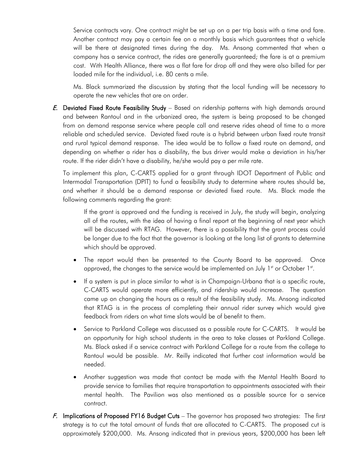Service contracts vary. One contract might be set up on a per trip basis with a time and fare. Another contract may pay a certain fee on a monthly basis which guarantees that a vehicle will be there at designated times during the day. Ms. Ansong commented that when a company has a service contract, the rides are generally guaranteed; the fare is at a premium cost. With Health Alliance, there was a flat fare for drop off and they were also billed for per loaded mile for the individual, i.e. 80 cents a mile.

Ms. Black summarized the discussion by stating that the local funding will be necessary to operate the new vehicles that are on order.

E. Deviated Fixed Route Feasibility Study – Based on ridership patterns with high demands around and between Rantoul and in the urbanized area, the system is being proposed to be changed from on demand response service where people call and reserve rides ahead of time to a more reliable and scheduled service. Deviated fixed route is a hybrid between urban fixed route transit and rural typical demand response. The idea would be to follow a fixed route on demand, and depending on whether a rider has a disability, the bus driver would make a deviation in his/her route. If the rider didn't have a disability, he/she would pay a per mile rate.

To implement this plan, C-CARTS applied for a grant through IDOT Department of Public and Intermodal Transportation (DPIT) to fund a feasibility study to determine where routes should be, and whether it should be a demand response or deviated fixed route. Ms. Black made the following comments regarding the grant:

If the grant is approved and the funding is received in July, the study will begin, analyzing all of the routes, with the idea of having a final report at the beginning of next year which will be discussed with RTAG. However, there is a possibility that the grant process could be longer due to the fact that the governor is looking at the long list of grants to determine which should be approved.

- The report would then be presented to the County Board to be approved. Once approved, the changes to the service would be implemented on July  $1<sup>st</sup>$  or October  $1<sup>st</sup>$ .
- If a system is put in place similar to what is in Champaign-Urbana that is a specific route, C-CARTS would operate more efficiently, and ridership would increase. The question came up on changing the hours as a result of the feasibility study. Ms. Ansong indicated that RTAG is in the process of completing their annual rider survey which would give feedback from riders on what time slots would be of benefit to them.
- Service to Parkland College was discussed as a possible route for C-CARTS. It would be an opportunity for high school students in the area to take classes at Parkland College. Ms. Black asked if a service contract with Parkland College for a route from the college to Rantoul would be possible. Mr. Reilly indicated that further cost information would be needed.
- Another suggestion was made that contact be made with the Mental Health Board to provide service to families that require transportation to appointments associated with their mental health. The Pavilion was also mentioned as a possible source for a service contract.
- F. Implications of Proposed FY16 Budget Cuts The governor has proposed two strategies: The first strategy is to cut the total amount of funds that are allocated to C-CARTS. The proposed cut is approximately \$200,000. Ms. Ansong indicated that in previous years, \$200,000 has been left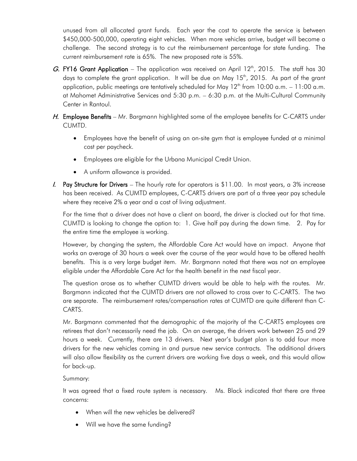unused from all allocated grant funds. Each year the cost to operate the service is between \$450,000-500,000, operating eight vehicles. When more vehicles arrive, budget will become a challenge. The second strategy is to cut the reimbursement percentage for state funding. The current reimbursement rate is 65%. The new proposed rate is 55%.

- G. FY16 Grant Application The application was received on April 12<sup>th</sup>, 2015. The staff has 30 days to complete the grant application. It will be due on May 15<sup>th</sup>, 2015. As part of the grant application, public meetings are tentatively scheduled for May  $12<sup>th</sup>$  from 10:00 a.m. – 11:00 a.m. at Mahomet Administrative Services and 5:30 p.m. – 6:30 p.m. at the Multi-Cultural Community Center in Rantoul.
- H. Employee Benefits Mr. Bargmann highlighted some of the employee benefits for C-CARTS under CUMTD.
	- Employees have the benefit of using an on-site gym that is employee funded at a minimal cost per paycheck.
	- Employees are eligible for the Urbana Municipal Credit Union.
	- A uniform allowance is provided.
- $I.$  Pay Structure for Drivers The hourly rate for operators is \$11.00. In most years, a 3% increase has been received. As CUMTD employees, C-CARTS drivers are part of a three year pay schedule where they receive 2% a year and a cost of living adjustment.

For the time that a driver does not have a client on board, the driver is clocked out for that time. CUMTD is looking to change the option to: 1. Give half pay during the down time. 2. Pay for the entire time the employee is working.

However, by changing the system, the Affordable Care Act would have an impact. Anyone that works an average of 30 hours a week over the course of the year would have to be offered health benefits. This is a very large budget item. Mr. Bargmann noted that there was not an employee eligible under the Affordable Care Act for the health benefit in the next fiscal year.

The question arose as to whether CUMTD drivers would be able to help with the routes. Mr. Bargmann indicated that the CUMTD drivers are not allowed to cross over to C-CARTS. The two are separate. The reimbursement rates/compensation rates at CUMTD are quite different than C-CARTS.

Mr. Bargmann commented that the demographic of the majority of the C-CARTS employees are retirees that don't necessarily need the job. On an average, the drivers work between 25 and 29 hours a week. Currently, there are 13 drivers. Next year's budget plan is to add four more drivers for the new vehicles coming in and pursue new service contracts. The additional drivers will also allow flexibility as the current drivers are working five days a week, and this would allow for back-up.

## Summary:

It was agreed that a fixed route system is necessary. Ms. Black indicated that there are three concerns:

- When will the new vehicles be delivered?
- Will we have the same funding?